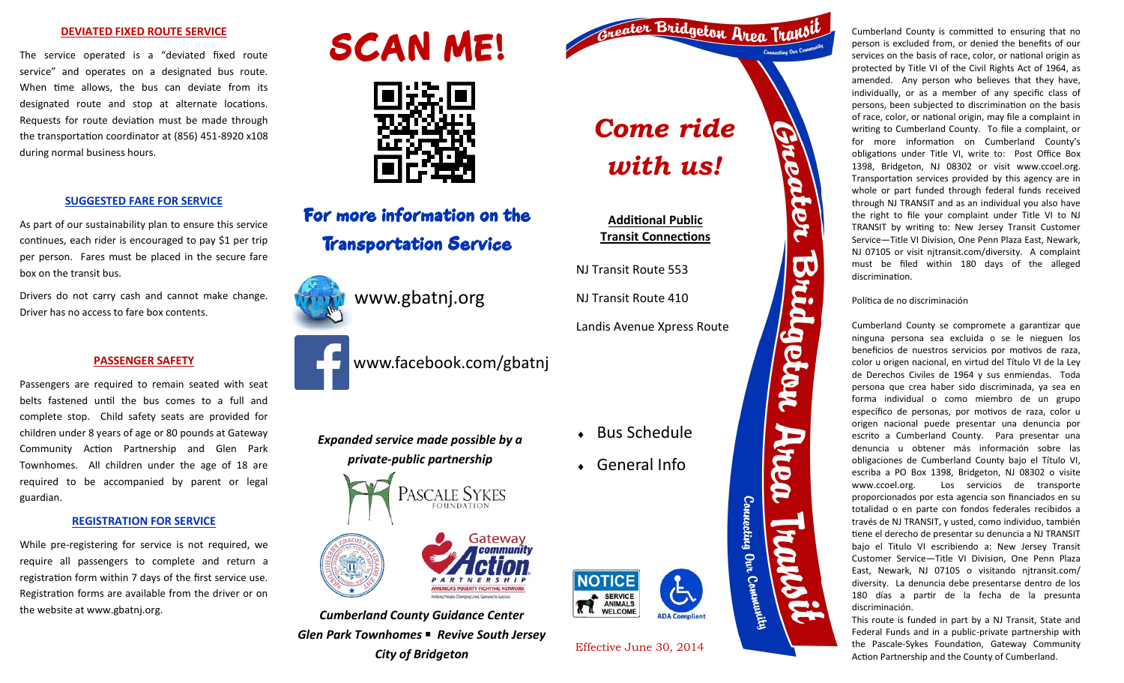### **DEVIATED FIXED ROUTE SERVICE**

The service operated is a "deviated fixed route service" and operates on a designated bus route. When time allows, the bus can deviate from its designated route and stop at alternate locations. Requests for route deviation must be made through the transportation coordinator at (856) 451-8920 x108 during normal business hours.

### **SUGGESTED FARE FOR SERVICE**

As part of our sustainability plan to ensure this service continues, each rider is encouraged to pay \$1 per trip per person. Fares must be placed in the secure fare box on the transit bus.

Drivers do not carry cash and cannot make change. Driver has no access to fare box contents.

### **PASSENGER SAFETY**

Passengers are required to remain seated with seat belts fastened until the bus comes to a full and complete stop. Child safety seats are provided for children under 8 years of age or 80 pounds at Gateway Community Action Partnership and Glen Park Townhomes. All children under the age of 18 are required to be accompanied by parent or legal guardian.

### **REGISTRATION FOR SERVICE**

While pre-registering for service is not required, we require all passengers to complete and return a registration form within 7 days of the first service use. Registration forms are available from the driver or on the website at www.gbatnj.org.





## For more information on the Transportation Service









### *Expanded service made possible by a private-public partnership*



*Cumberland County Guidance Center Glen Park Townhomes* *Revive South Jersey* **City of Bridgeton** Effective June 30, 2014



Cumberland County is committed to ensuring that no person is excluded from, or denied the benefits of our services on the basis of race, color, or national origin as protected by Title VI of the Civil Rights Act of 1964, as amended. Any person who believes that they have, individually, or as a member of any specific class of persons, been subjected to discrimination on the basis of race, color, or national origin, may file a complaint in writing to Cumberland County. To file a complaint, or for more information on Cumberland County's obligations under Title VI, write to: Post Office Box 1398, Bridgeton, NJ 08302 or visit www.ccoel.org. Transportation services provided by this agency are in whole or part funded through federal funds received through NJ TRANSIT and as an individual you also have the right to file your complaint under Title VI to NJ TRANSIT by writing to: New Jersey Transit Customer Service—Title VI Division, One Penn Plaza East, Newark, NJ 07105 or visit njtransit.com/diversity. A complaint must be filed within 180 days of the alleged discrimination.

### Política de no discriminación

DC

getan

Arca

Counecting Ovr

, Community

Cumberland County se compromete a garantizar que ninguna persona sea excluida o se le nieguen los beneficios de nuestros servicios por motivos de raza, color u origen nacional, en virtud del Título VI de la Ley de Derechos Civiles de 1964 y sus enmiendas. Toda persona que crea haber sido discriminada, ya sea en forma individual o como miembro de un grupo específico de personas, por motivos de raza, color u origen nacional puede presentar una denuncia por escrito a Cumberland County. Para presentar una denuncia u obtener más información sobre las obligaciones de Cumberland County bajo el Título VI, escriba a PO Box 1398, Bridgeton, NJ 08302 o visite www.ccoel.org. Los servicios de transporte proporcionados por esta agencia son financiados en su totalidad o en parte con fondos federales recibidos a través de NJ TRANSIT, y usted, como individuo, también tiene el derecho de presentar su denuncia a NJ TRANSIT bajo el Titulo VI escribiendo a: New Jersey Transit Customer Service—Title VI Division, One Penn Plaza East, Newark, NJ 07105 o visitando nitransit.com/ diversity. La denuncia debe presentarse dentro de los 180 días a partir de la fecha de la presunta discriminación.

This route is funded in part by a NJ Transit, State and Federal Funds and in a public-private partnership with the Pascale-Sykes Foundation, Gateway Community Action Partnership and the County of Cumberland.



Bus Schedule

*Come ride* 

*cater Bridgeton Area Tral* 

*with us!* 

**Additional Public Transit Connections**

Landis Avenue Xpress Route

NJ Transit Route 553

NJ Transit Route 410